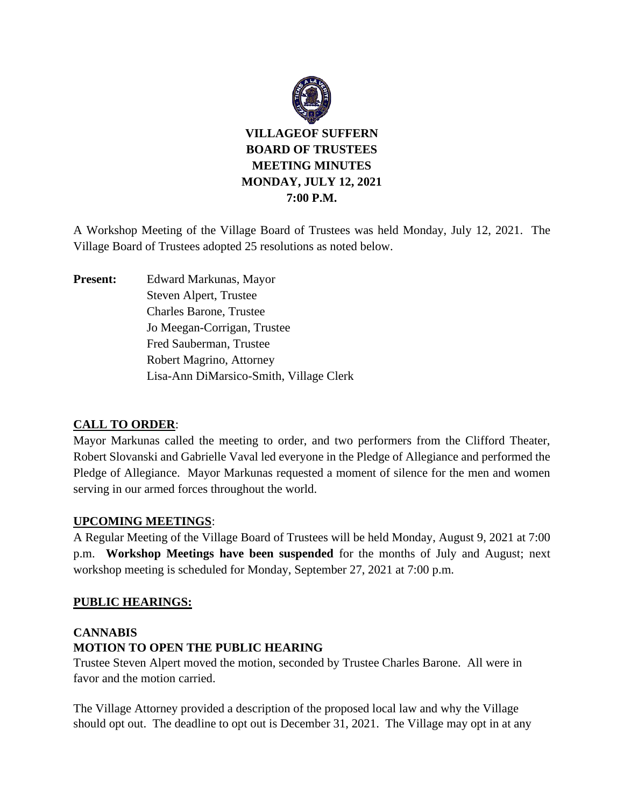

A Workshop Meeting of the Village Board of Trustees was held Monday, July 12, 2021. The Village Board of Trustees adopted 25 resolutions as noted below.

**Present:** Edward Markunas, Mayor Steven Alpert, Trustee Charles Barone, Trustee Jo Meegan-Corrigan, Trustee Fred Sauberman, Trustee Robert Magrino, Attorney Lisa-Ann DiMarsico-Smith, Village Clerk

## **CALL TO ORDER**:

Mayor Markunas called the meeting to order, and two performers from the Clifford Theater, Robert Slovanski and Gabrielle Vaval led everyone in the Pledge of Allegiance and performed the Pledge of Allegiance. Mayor Markunas requested a moment of silence for the men and women serving in our armed forces throughout the world.

## **UPCOMING MEETINGS**:

A Regular Meeting of the Village Board of Trustees will be held Monday, August 9, 2021 at 7:00 p.m. **Workshop Meetings have been suspended** for the months of July and August; next workshop meeting is scheduled for Monday, September 27, 2021 at 7:00 p.m.

## **PUBLIC HEARINGS:**

# **CANNABIS MOTION TO OPEN THE PUBLIC HEARING**

Trustee Steven Alpert moved the motion, seconded by Trustee Charles Barone. All were in favor and the motion carried.

The Village Attorney provided a description of the proposed local law and why the Village should opt out. The deadline to opt out is December 31, 2021. The Village may opt in at any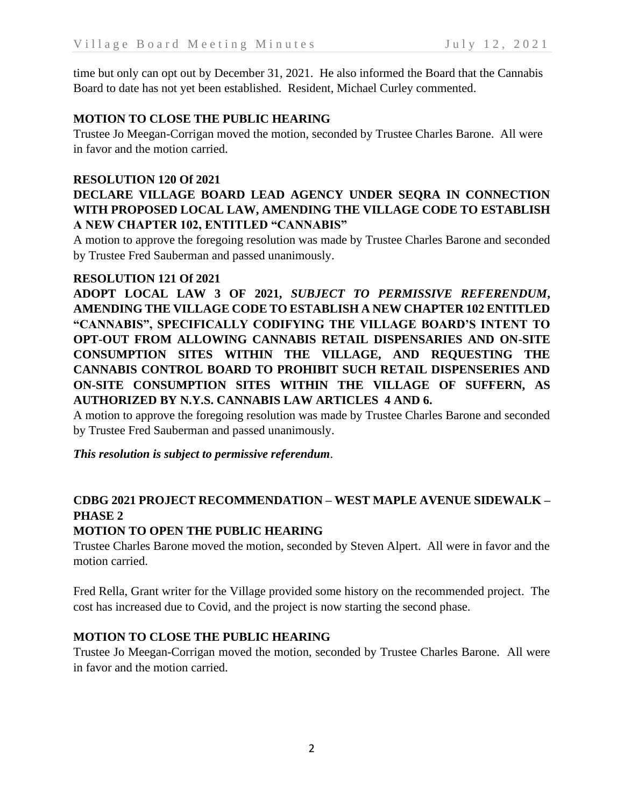time but only can opt out by December 31, 2021. He also informed the Board that the Cannabis Board to date has not yet been established. Resident, Michael Curley commented.

## **MOTION TO CLOSE THE PUBLIC HEARING**

Trustee Jo Meegan-Corrigan moved the motion, seconded by Trustee Charles Barone. All were in favor and the motion carried.

## **RESOLUTION 120 Of 2021**

# **DECLARE VILLAGE BOARD LEAD AGENCY UNDER SEQRA IN CONNECTION WITH PROPOSED LOCAL LAW, AMENDING THE VILLAGE CODE TO ESTABLISH A NEW CHAPTER 102, ENTITLED "CANNABIS"**

A motion to approve the foregoing resolution was made by Trustee Charles Barone and seconded by Trustee Fred Sauberman and passed unanimously.

## **RESOLUTION 121 Of 2021**

**ADOPT LOCAL LAW 3 OF 2021,** *SUBJECT TO PERMISSIVE REFERENDUM***, AMENDING THE VILLAGE CODE TO ESTABLISH A NEW CHAPTER 102 ENTITLED "CANNABIS", SPECIFICALLY CODIFYING THE VILLAGE BOARD'S INTENT TO OPT-OUT FROM ALLOWING CANNABIS RETAIL DISPENSARIES AND ON-SITE CONSUMPTION SITES WITHIN THE VILLAGE, AND REQUESTING THE CANNABIS CONTROL BOARD TO PROHIBIT SUCH RETAIL DISPENSERIES AND ON-SITE CONSUMPTION SITES WITHIN THE VILLAGE OF SUFFERN, AS AUTHORIZED BY N.Y.S. CANNABIS LAW ARTICLES 4 AND 6.**

A motion to approve the foregoing resolution was made by Trustee Charles Barone and seconded by Trustee Fred Sauberman and passed unanimously.

*This resolution is subject to permissive referendum*.

# **CDBG 2021 PROJECT RECOMMENDATION – WEST MAPLE AVENUE SIDEWALK – PHASE 2**

## **MOTION TO OPEN THE PUBLIC HEARING**

Trustee Charles Barone moved the motion, seconded by Steven Alpert. All were in favor and the motion carried.

Fred Rella, Grant writer for the Village provided some history on the recommended project. The cost has increased due to Covid, and the project is now starting the second phase.

## **MOTION TO CLOSE THE PUBLIC HEARING**

Trustee Jo Meegan-Corrigan moved the motion, seconded by Trustee Charles Barone. All were in favor and the motion carried.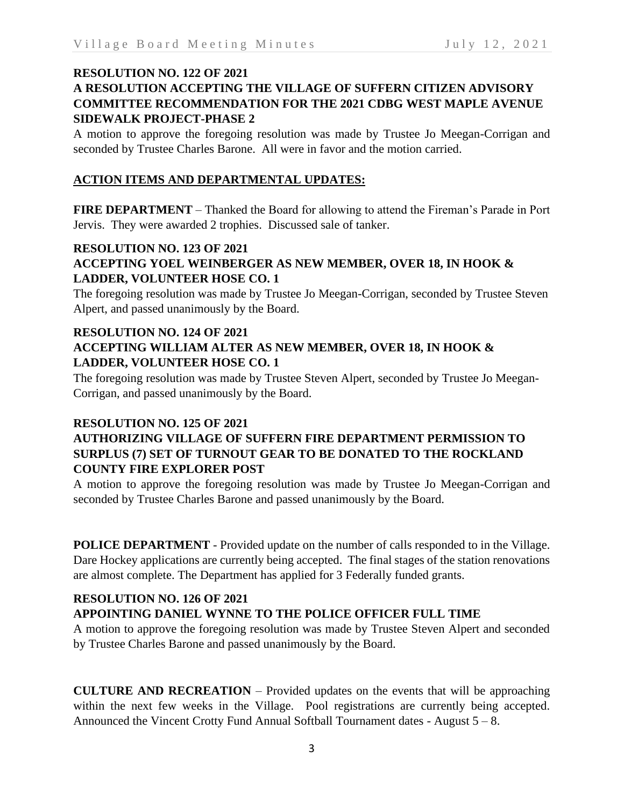#### **RESOLUTION NO. 122 OF 2021**

# **A RESOLUTION ACCEPTING THE VILLAGE OF SUFFERN CITIZEN ADVISORY COMMITTEE RECOMMENDATION FOR THE 2021 CDBG WEST MAPLE AVENUE SIDEWALK PROJECT-PHASE 2**

A motion to approve the foregoing resolution was made by Trustee Jo Meegan-Corrigan and seconded by Trustee Charles Barone. All were in favor and the motion carried.

## **ACTION ITEMS AND DEPARTMENTAL UPDATES:**

**FIRE DEPARTMENT** – Thanked the Board for allowing to attend the Fireman's Parade in Port Jervis. They were awarded 2 trophies. Discussed sale of tanker.

## **RESOLUTION NO. 123 OF 2021 ACCEPTING YOEL WEINBERGER AS NEW MEMBER, OVER 18, IN HOOK & LADDER, VOLUNTEER HOSE CO. 1**

The foregoing resolution was made by Trustee Jo Meegan-Corrigan, seconded by Trustee Steven Alpert, and passed unanimously by the Board.

# **RESOLUTION NO. 124 OF 2021 ACCEPTING WILLIAM ALTER AS NEW MEMBER, OVER 18, IN HOOK & LADDER, VOLUNTEER HOSE CO. 1**

The foregoing resolution was made by Trustee Steven Alpert, seconded by Trustee Jo Meegan-Corrigan, and passed unanimously by the Board.

## **RESOLUTION NO. 125 OF 2021**

# **AUTHORIZING VILLAGE OF SUFFERN FIRE DEPARTMENT PERMISSION TO SURPLUS (7) SET OF TURNOUT GEAR TO BE DONATED TO THE ROCKLAND COUNTY FIRE EXPLORER POST**

A motion to approve the foregoing resolution was made by Trustee Jo Meegan-Corrigan and seconded by Trustee Charles Barone and passed unanimously by the Board.

**POLICE DEPARTMENT** - Provided update on the number of calls responded to in the Village. Dare Hockey applications are currently being accepted. The final stages of the station renovations are almost complete. The Department has applied for 3 Federally funded grants.

## **RESOLUTION NO. 126 OF 2021**

# **APPOINTING DANIEL WYNNE TO THE POLICE OFFICER FULL TIME**

A motion to approve the foregoing resolution was made by Trustee Steven Alpert and seconded by Trustee Charles Barone and passed unanimously by the Board.

**CULTURE AND RECREATION** – Provided updates on the events that will be approaching within the next few weeks in the Village. Pool registrations are currently being accepted. Announced the Vincent Crotty Fund Annual Softball Tournament dates - August 5 – 8.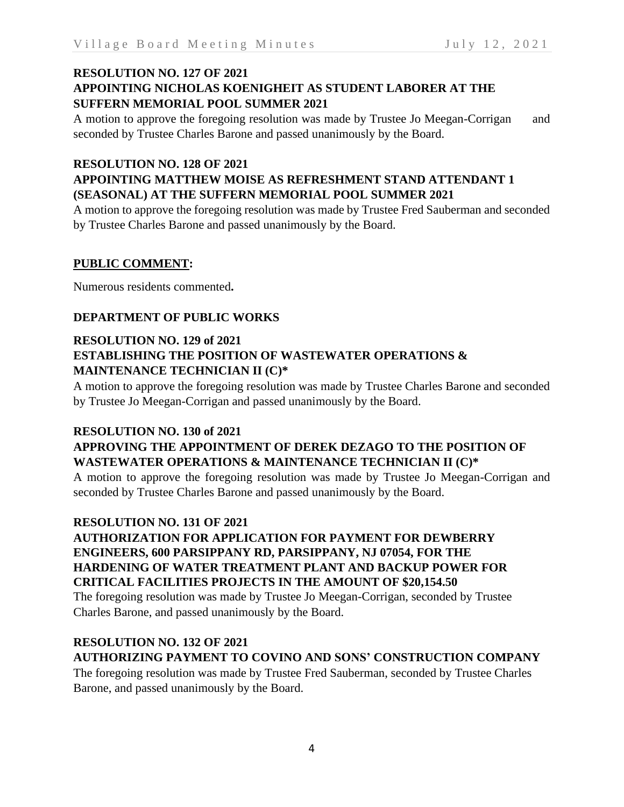# **RESOLUTION NO. 127 OF 2021 APPOINTING NICHOLAS KOENIGHEIT AS STUDENT LABORER AT THE SUFFERN MEMORIAL POOL SUMMER 2021**

A motion to approve the foregoing resolution was made by Trustee Jo Meegan-Corrigan and seconded by Trustee Charles Barone and passed unanimously by the Board.

# **RESOLUTION NO. 128 OF 2021**

# **APPOINTING MATTHEW MOISE AS REFRESHMENT STAND ATTENDANT 1 (SEASONAL) AT THE SUFFERN MEMORIAL POOL SUMMER 2021**

A motion to approve the foregoing resolution was made by Trustee Fred Sauberman and seconded by Trustee Charles Barone and passed unanimously by the Board.

# **PUBLIC COMMENT:**

Numerous residents commented**.**

# **DEPARTMENT OF PUBLIC WORKS**

# **RESOLUTION NO. 129 of 2021 ESTABLISHING THE POSITION OF WASTEWATER OPERATIONS & MAINTENANCE TECHNICIAN II (C)\***

A motion to approve the foregoing resolution was made by Trustee Charles Barone and seconded by Trustee Jo Meegan-Corrigan and passed unanimously by the Board.

## **RESOLUTION NO. 130 of 2021**

# **APPROVING THE APPOINTMENT OF DEREK DEZAGO TO THE POSITION OF WASTEWATER OPERATIONS & MAINTENANCE TECHNICIAN II (C)\***

A motion to approve the foregoing resolution was made by Trustee Jo Meegan-Corrigan and seconded by Trustee Charles Barone and passed unanimously by the Board.

## **RESOLUTION NO. 131 OF 2021**

# **AUTHORIZATION FOR APPLICATION FOR PAYMENT FOR DEWBERRY ENGINEERS, 600 PARSIPPANY RD, PARSIPPANY, NJ 07054, FOR THE HARDENING OF WATER TREATMENT PLANT AND BACKUP POWER FOR CRITICAL FACILITIES PROJECTS IN THE AMOUNT OF \$20,154.50**

The foregoing resolution was made by Trustee Jo Meegan-Corrigan, seconded by Trustee Charles Barone, and passed unanimously by the Board.

# **RESOLUTION NO. 132 OF 2021**

# **AUTHORIZING PAYMENT TO COVINO AND SONS' CONSTRUCTION COMPANY**

The foregoing resolution was made by Trustee Fred Sauberman, seconded by Trustee Charles Barone, and passed unanimously by the Board.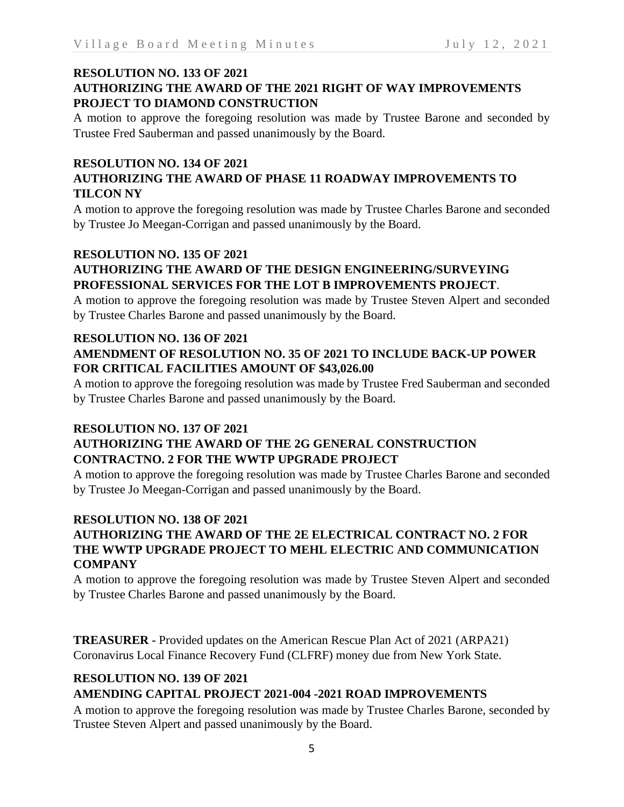## **RESOLUTION NO. 133 OF 2021 AUTHORIZING THE AWARD OF THE 2021 RIGHT OF WAY IMPROVEMENTS PROJECT TO DIAMOND CONSTRUCTION**

A motion to approve the foregoing resolution was made by Trustee Barone and seconded by Trustee Fred Sauberman and passed unanimously by the Board.

# **RESOLUTION NO. 134 OF 2021**

# **AUTHORIZING THE AWARD OF PHASE 11 ROADWAY IMPROVEMENTS TO TILCON NY**

A motion to approve the foregoing resolution was made by Trustee Charles Barone and seconded by Trustee Jo Meegan-Corrigan and passed unanimously by the Board.

# **RESOLUTION NO. 135 OF 2021**

# **AUTHORIZING THE AWARD OF THE DESIGN ENGINEERING/SURVEYING PROFESSIONAL SERVICES FOR THE LOT B IMPROVEMENTS PROJECT**.

A motion to approve the foregoing resolution was made by Trustee Steven Alpert and seconded by Trustee Charles Barone and passed unanimously by the Board.

# **RESOLUTION NO. 136 OF 2021 AMENDMENT OF RESOLUTION NO. 35 OF 2021 TO INCLUDE BACK-UP POWER FOR CRITICAL FACILITIES AMOUNT OF \$43,026.00**

A motion to approve the foregoing resolution was made by Trustee Fred Sauberman and seconded by Trustee Charles Barone and passed unanimously by the Board.

## **RESOLUTION NO. 137 OF 2021**

# **AUTHORIZING THE AWARD OF THE 2G GENERAL CONSTRUCTION CONTRACTNO. 2 FOR THE WWTP UPGRADE PROJECT**

A motion to approve the foregoing resolution was made by Trustee Charles Barone and seconded by Trustee Jo Meegan-Corrigan and passed unanimously by the Board.

# **RESOLUTION NO. 138 OF 2021**

# **AUTHORIZING THE AWARD OF THE 2E ELECTRICAL CONTRACT NO. 2 FOR THE WWTP UPGRADE PROJECT TO MEHL ELECTRIC AND COMMUNICATION COMPANY**

A motion to approve the foregoing resolution was made by Trustee Steven Alpert and seconded by Trustee Charles Barone and passed unanimously by the Board.

**TREASURER -** Provided updates on the American Rescue Plan Act of 2021 (ARPA21) Coronavirus Local Finance Recovery Fund (CLFRF) money due from New York State.

## **RESOLUTION NO. 139 OF 2021 AMENDING CAPITAL PROJECT 2021-004 -2021 ROAD IMPROVEMENTS**

A motion to approve the foregoing resolution was made by Trustee Charles Barone, seconded by Trustee Steven Alpert and passed unanimously by the Board.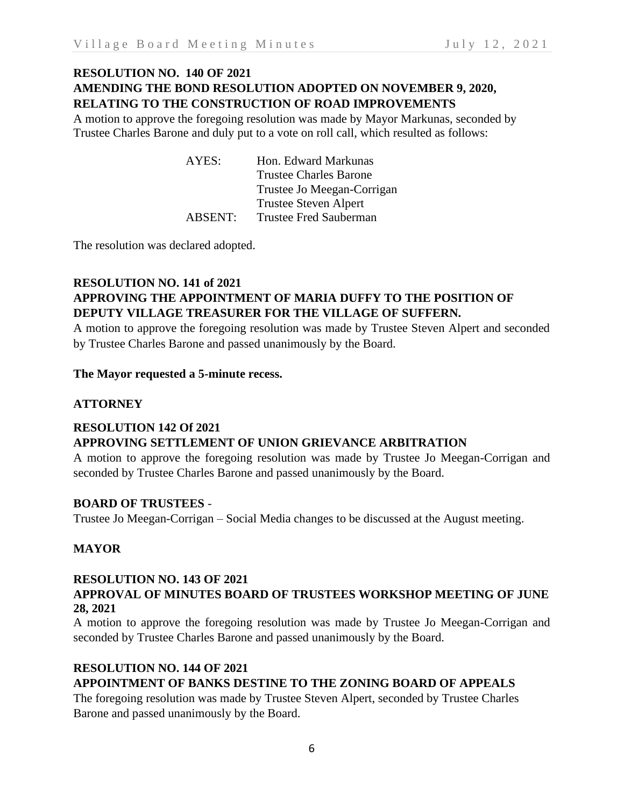# **RESOLUTION NO. 140 OF 2021 AMENDING THE BOND RESOLUTION ADOPTED ON NOVEMBER 9, 2020, RELATING TO THE CONSTRUCTION OF ROAD IMPROVEMENTS**

A motion to approve the foregoing resolution was made by Mayor Markunas, seconded by Trustee Charles Barone and duly put to a vote on roll call, which resulted as follows:

| AYES:               | Hon. Edward Markunas          |
|---------------------|-------------------------------|
|                     | <b>Trustee Charles Barone</b> |
|                     | Trustee Jo Meegan-Corrigan    |
|                     | <b>Trustee Steven Alpert</b>  |
| ABSENT <sup>1</sup> | Trustee Fred Sauberman        |

The resolution was declared adopted.

# **RESOLUTION NO. 141 of 2021 APPROVING THE APPOINTMENT OF MARIA DUFFY TO THE POSITION OF DEPUTY VILLAGE TREASURER FOR THE VILLAGE OF SUFFERN.**

A motion to approve the foregoing resolution was made by Trustee Steven Alpert and seconded by Trustee Charles Barone and passed unanimously by the Board.

## **The Mayor requested a 5-minute recess.**

## **ATTORNEY**

#### **RESOLUTION 142 Of 2021 APPROVING SETTLEMENT OF UNION GRIEVANCE ARBITRATION**

A motion to approve the foregoing resolution was made by Trustee Jo Meegan-Corrigan and seconded by Trustee Charles Barone and passed unanimously by the Board.

## **BOARD OF TRUSTEES** -

Trustee Jo Meegan-Corrigan – Social Media changes to be discussed at the August meeting.

## **MAYOR**

## **RESOLUTION NO. 143 OF 2021**

## **APPROVAL OF MINUTES BOARD OF TRUSTEES WORKSHOP MEETING OF JUNE 28, 2021**

A motion to approve the foregoing resolution was made by Trustee Jo Meegan-Corrigan and seconded by Trustee Charles Barone and passed unanimously by the Board.

## **RESOLUTION NO. 144 OF 2021**

# **APPOINTMENT OF BANKS DESTINE TO THE ZONING BOARD OF APPEALS**

The foregoing resolution was made by Trustee Steven Alpert, seconded by Trustee Charles Barone and passed unanimously by the Board.